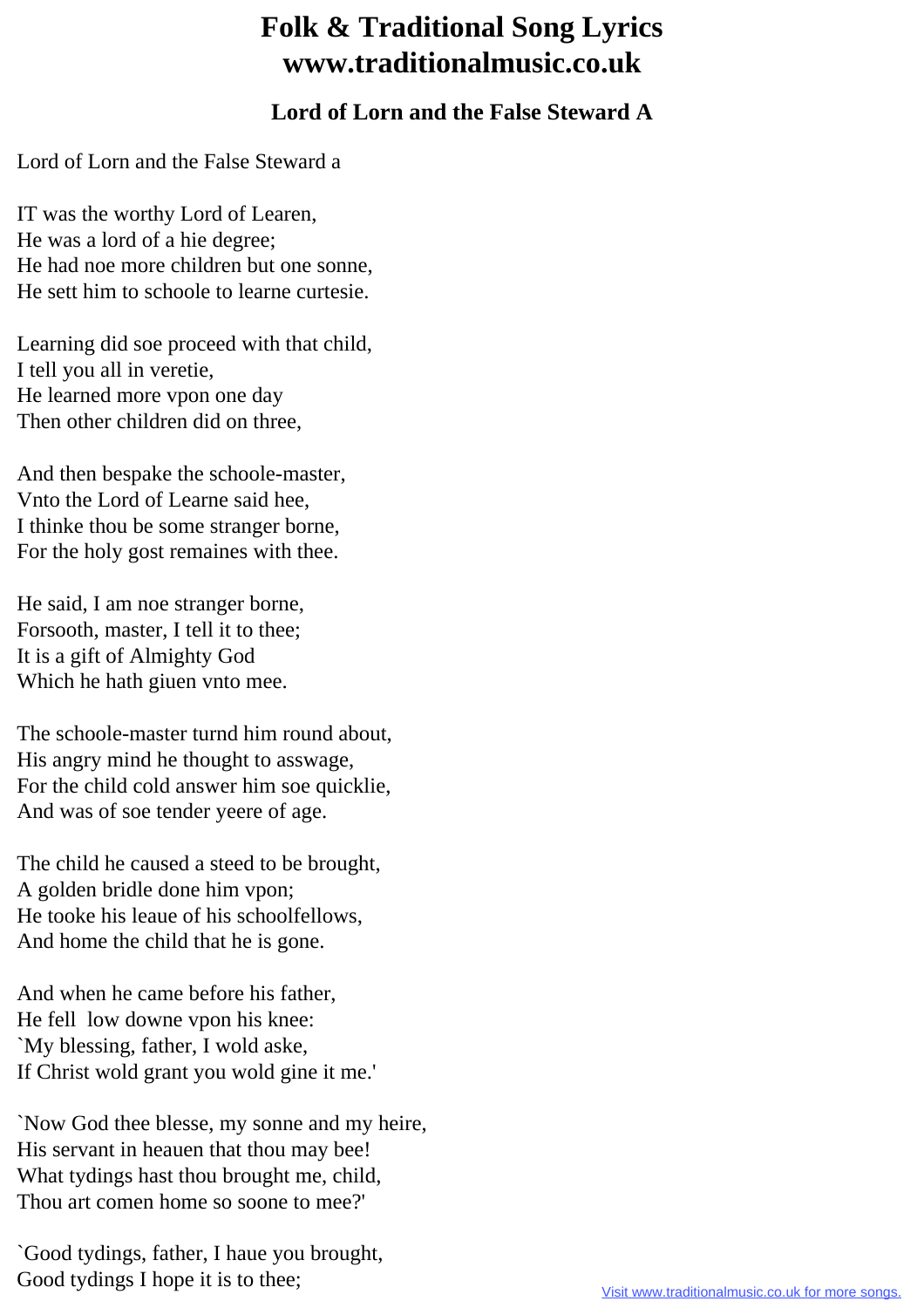## **Folk & Traditional Song Lyrics www.traditionalmusic.co.uk**

## **Lord of Lorn and the False Steward A**

Lord of Lorn and the False Steward a

IT was the worthy Lord of Learen, He was a lord of a hie degree; He had noe more children but one sonne, He sett him to schoole to learne curtesie.

Learning did soe proceed with that child, I tell you all in veretie, He learned more vpon one day Then other children did on three,

And then bespake the schoole-master, Vnto the Lord of Learne said hee, I thinke thou be some stranger borne, For the holy gost remaines with thee.

He said, I am noe stranger borne, Forsooth, master, I tell it to thee; It is a gift of Almighty God Which he hath giuen vnto mee.

The schoole-master turnd him round about, His angry mind he thought to asswage, For the child cold answer him soe quicklie, And was of soe tender yeere of age.

The child he caused a steed to be brought, A golden bridle done him vpon; He tooke his leaue of his schoolfellows, And home the child that he is gone.

And when he came before his father, He fell low downe vpon his knee: `My blessing, father, I wold aske, If Christ wold grant you wold gine it me.'

`Now God thee blesse, my sonne and my heire, His servant in heauen that thou may bee! What tydings hast thou brought me, child, Thou art comen home so soone to mee?'

`Good tydings, father, I haue you brought, Good tydings I hope it is to thee;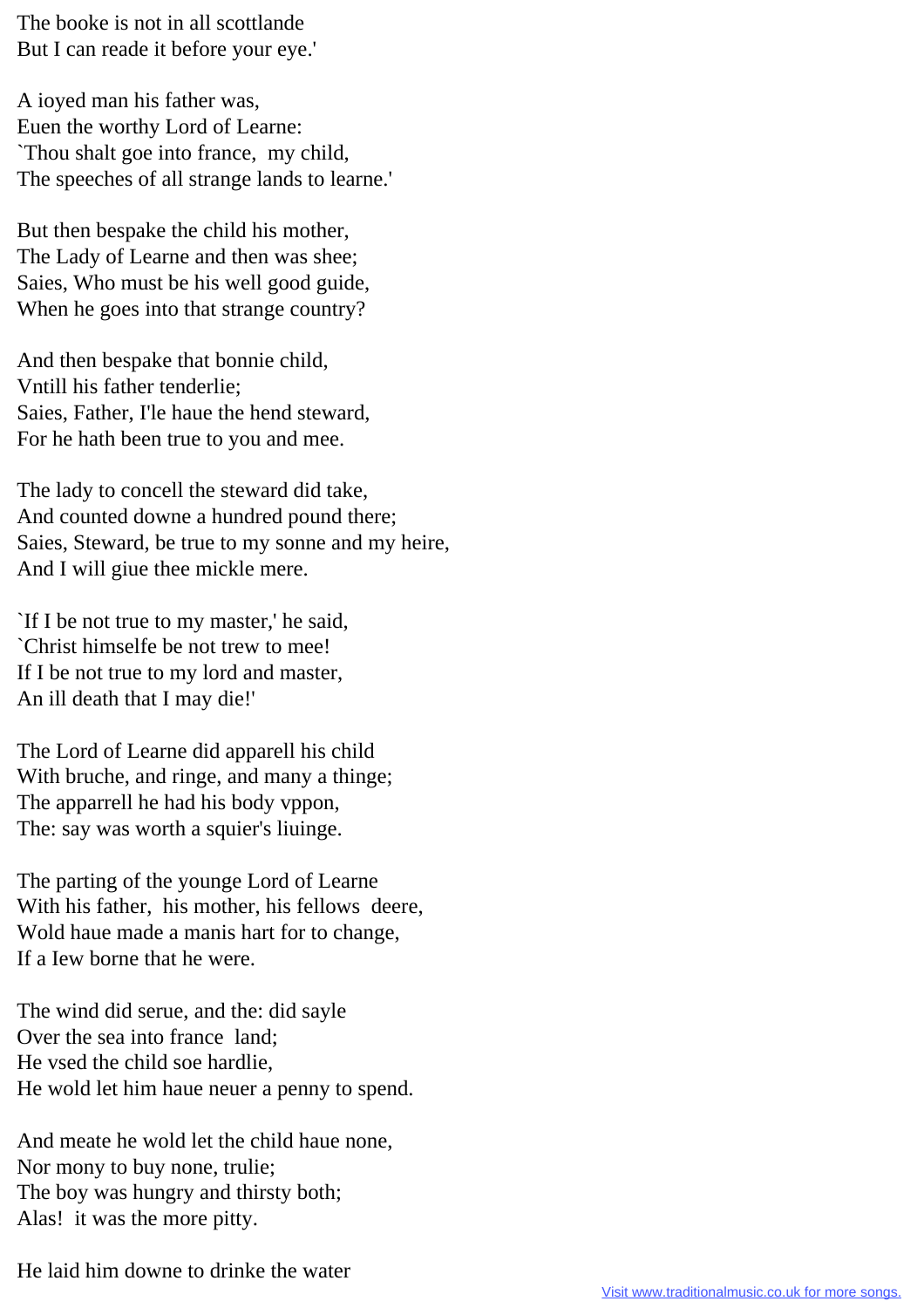The booke is not in all scottlande But I can reade it before your eye.'

A ioyed man his father was, Euen the worthy Lord of Learne: `Thou shalt goe into france, my child, The speeches of all strange lands to learne.'

But then bespake the child his mother, The Lady of Learne and then was shee; Saies, Who must be his well good guide, When he goes into that strange country?

And then bespake that bonnie child, Vntill his father tenderlie; Saies, Father, I'le haue the hend steward, For he hath been true to you and mee.

The lady to concell the steward did take, And counted downe a hundred pound there; Saies, Steward, be true to my sonne and my heire, And I will giue thee mickle mere.

`If I be not true to my master,' he said, `Christ himselfe be not trew to mee! If I be not true to my lord and master, An ill death that I may die!'

The Lord of Learne did apparell his child With bruche, and ringe, and many a thinge; The apparrell he had his body vppon, The: say was worth a squier's liuinge.

The parting of the younge Lord of Learne With his father, his mother, his fellows deere, Wold haue made a manis hart for to change, If a Iew borne that he were.

The wind did serue, and the: did sayle Over the sea into france land; He vsed the child soe hardlie, He wold let him haue neuer a penny to spend.

And meate he wold let the child haue none, Nor mony to buy none, trulie; The boy was hungry and thirsty both; Alas! it was the more pitty.

He laid him downe to drinke the water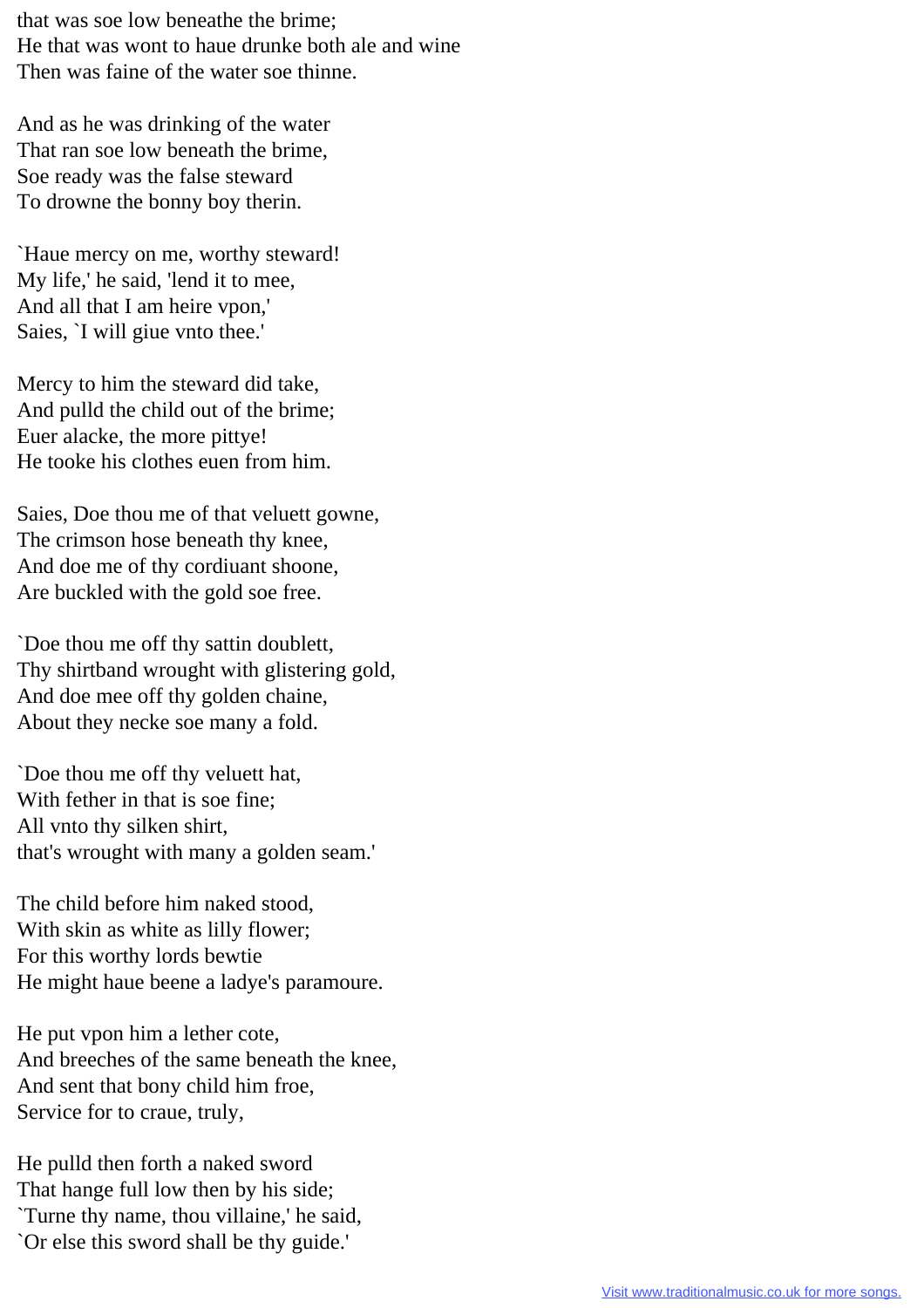that was soe low beneathe the brime; He that was wont to haue drunke both ale and wine Then was faine of the water soe thinne.

And as he was drinking of the water That ran soe low beneath the brime, Soe ready was the false steward To drowne the bonny boy therin.

`Haue mercy on me, worthy steward! My life,' he said, 'lend it to mee, And all that I am heire vpon,' Saies, `I will giue vnto thee.'

Mercy to him the steward did take, And pulld the child out of the brime; Euer alacke, the more pittye! He tooke his clothes euen from him.

Saies, Doe thou me of that veluett gowne, The crimson hose beneath thy knee, And doe me of thy cordiuant shoone, Are buckled with the gold soe free.

`Doe thou me off thy sattin doublett, Thy shirtband wrought with glistering gold, And doe mee off thy golden chaine, About they necke soe many a fold.

`Doe thou me off thy veluett hat, With fether in that is soe fine; All vnto thy silken shirt, that's wrought with many a golden seam.'

The child before him naked stood, With skin as white as lilly flower; For this worthy lords bewtie He might haue beene a ladye's paramoure.

He put vpon him a lether cote, And breeches of the same beneath the knee, And sent that bony child him froe, Service for to craue, truly,

He pulld then forth a naked sword That hange full low then by his side; `Turne thy name, thou villaine,' he said, `Or else this sword shall be thy guide.'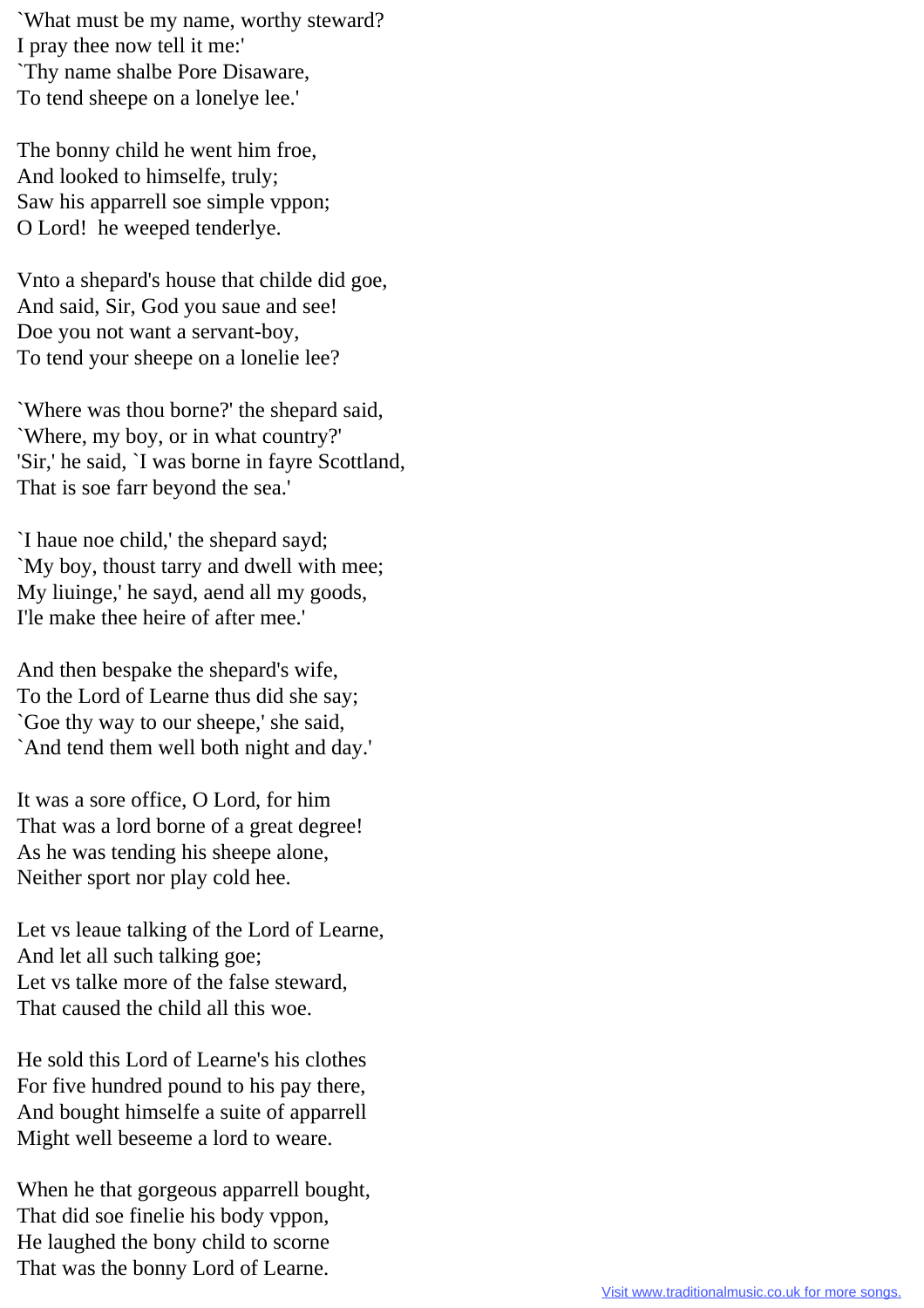`What must be my name, worthy steward? I pray thee now tell it me:' `Thy name shalbe Pore Disaware, To tend sheepe on a lonelye lee.'

The bonny child he went him froe, And looked to himselfe, truly; Saw his apparrell soe simple vppon; O Lord! he weeped tenderlye.

Vnto a shepard's house that childe did goe, And said, Sir, God you saue and see! Doe you not want a servant-boy, To tend your sheepe on a lonelie lee?

`Where was thou borne?' the shepard said, `Where, my boy, or in what country?' 'Sir,' he said, `I was borne in fayre Scottland, That is soe farr beyond the sea.'

`I haue noe child,' the shepard sayd; `My boy, thoust tarry and dwell with mee; My liuinge,' he sayd, aend all my goods, I'le make thee heire of after mee.'

And then bespake the shepard's wife, To the Lord of Learne thus did she say; `Goe thy way to our sheepe,' she said, `And tend them well both night and day.'

It was a sore office, O Lord, for him That was a lord borne of a great degree! As he was tending his sheepe alone, Neither sport nor play cold hee.

Let vs leaue talking of the Lord of Learne, And let all such talking goe; Let vs talke more of the false steward, That caused the child all this woe.

He sold this Lord of Learne's his clothes For five hundred pound to his pay there, And bought himselfe a suite of apparrell Might well beseeme a lord to weare.

When he that gorgeous apparrell bought, That did soe finelie his body vppon, He laughed the bony child to scorne That was the bonny Lord of Learne.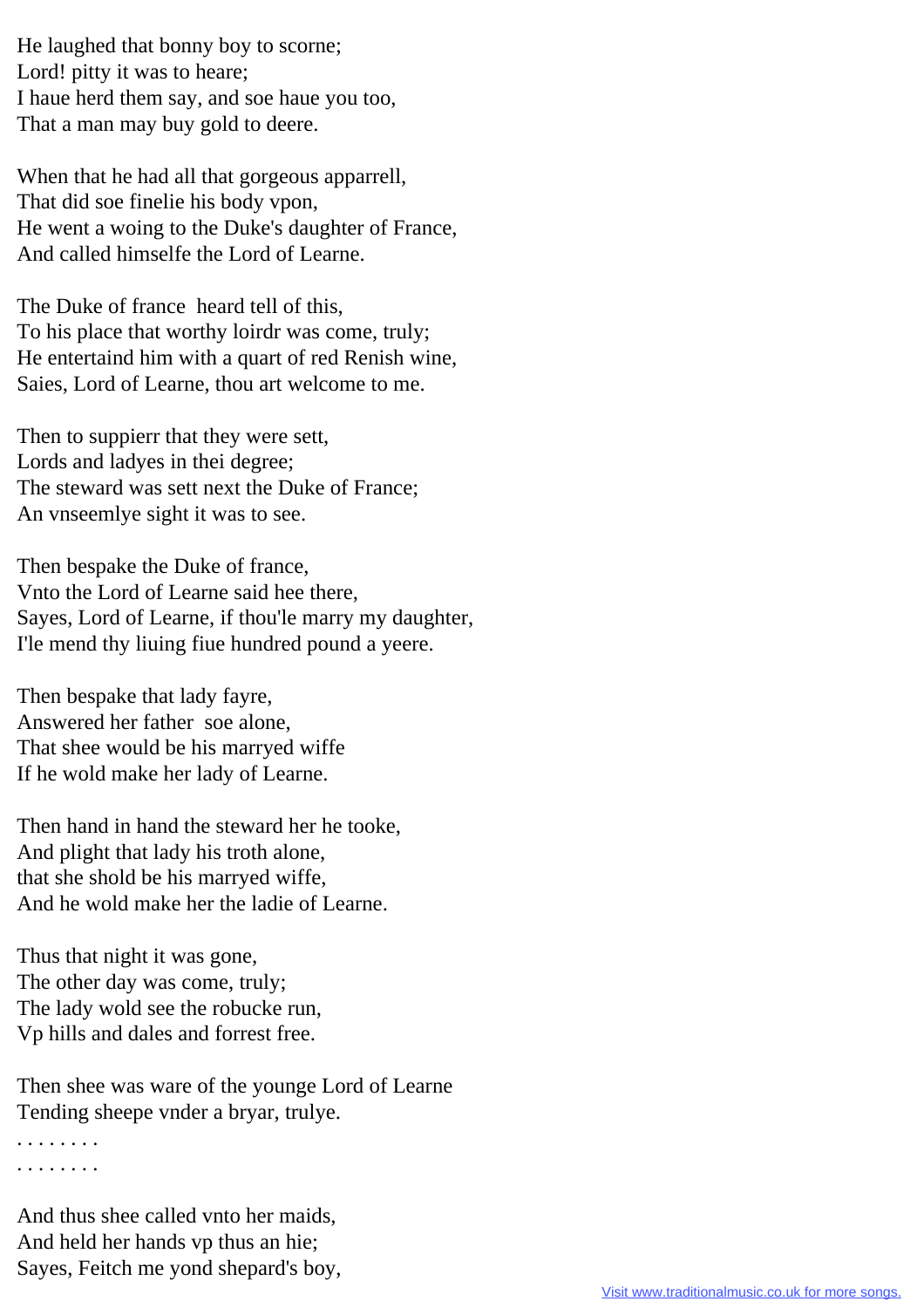He laughed that bonny boy to scorne; Lord! pitty it was to heare; I haue herd them say, and soe haue you too, That a man may buy gold to deere.

When that he had all that gorgeous apparrell, That did soe finelie his body vpon, He went a woing to the Duke's daughter of France, And called himselfe the Lord of Learne.

The Duke of france heard tell of this, To his place that worthy loirdr was come, truly; He entertaind him with a quart of red Renish wine, Saies, Lord of Learne, thou art welcome to me.

Then to suppierr that they were sett, Lords and ladyes in thei degree; The steward was sett next the Duke of France; An vnseemlye sight it was to see.

Then bespake the Duke of france, Vnto the Lord of Learne said hee there, Sayes, Lord of Learne, if thou'le marry my daughter, I'le mend thy liuing fiue hundred pound a yeere.

Then bespake that lady fayre, Answered her father soe alone, That shee would be his marryed wiffe If he wold make her lady of Learne.

Then hand in hand the steward her he tooke, And plight that lady his troth alone, that she shold be his marryed wiffe, And he wold make her the ladie of Learne.

Thus that night it was gone, The other day was come, truly; The lady wold see the robucke run, Vp hills and dales and forrest free.

Then shee was ware of the younge Lord of Learne Tending sheepe vnder a bryar, trulye.

. . . . . . . . . . . . . . . .

And thus shee called vnto her maids, And held her hands vp thus an hie; Sayes, Feitch me yond shepard's boy,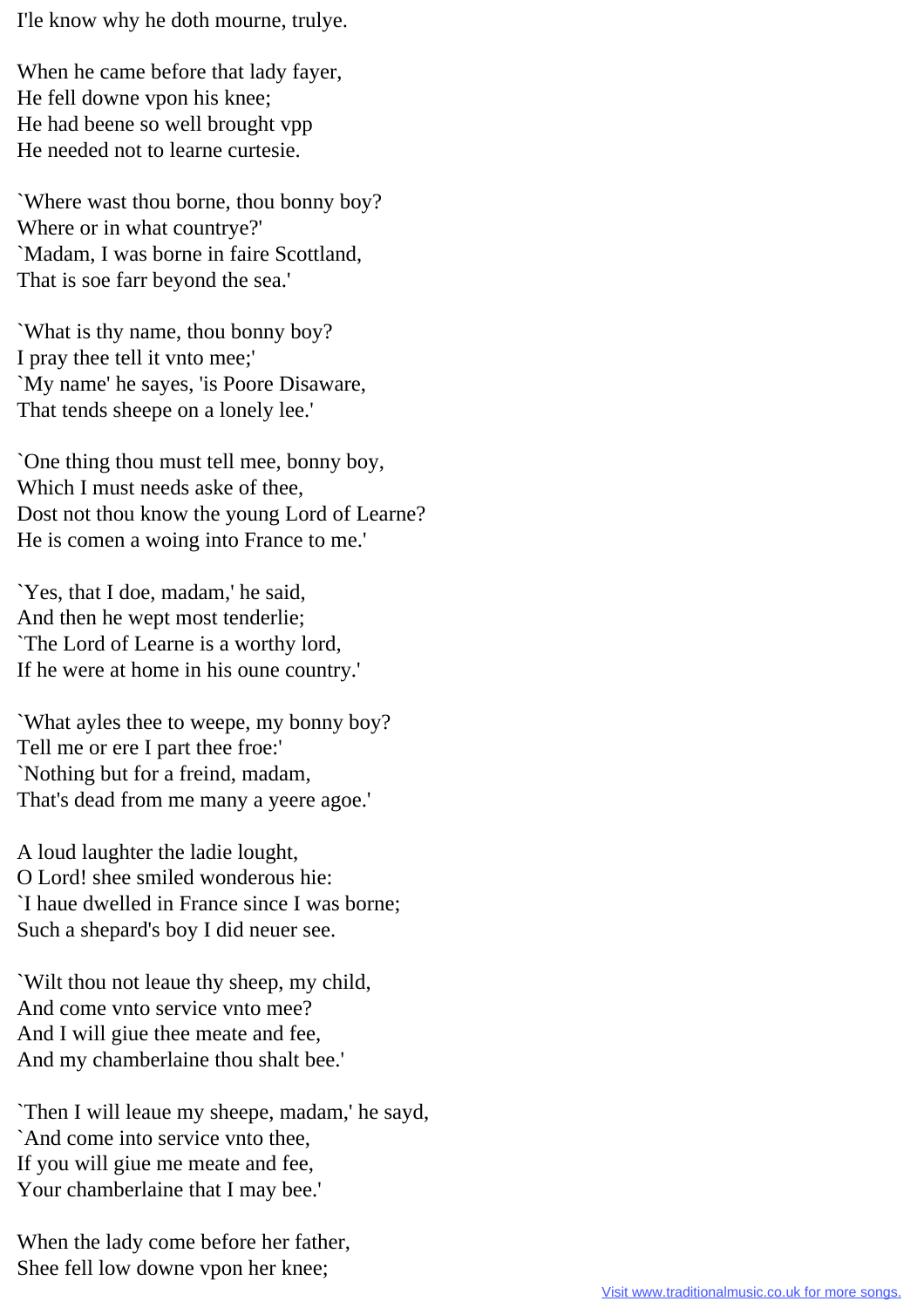I'le know why he doth mourne, trulye.

When he came before that lady fayer, He fell downe vpon his knee; He had beene so well brought vpp He needed not to learne curtesie.

`Where wast thou borne, thou bonny boy? Where or in what countrye?' `Madam, I was borne in faire Scottland, That is soe farr beyond the sea.'

`What is thy name, thou bonny boy? I pray thee tell it vnto mee;' `My name' he sayes, 'is Poore Disaware, That tends sheepe on a lonely lee.'

`One thing thou must tell mee, bonny boy, Which I must needs aske of thee, Dost not thou know the young Lord of Learne? He is comen a woing into France to me.'

`Yes, that I doe, madam,' he said, And then he wept most tenderlie; `The Lord of Learne is a worthy lord, If he were at home in his oune country.'

`What ayles thee to weepe, my bonny boy? Tell me or ere I part thee froe:' `Nothing but for a freind, madam, That's dead from me many a yeere agoe.'

A loud laughter the ladie lought, O Lord! shee smiled wonderous hie: `I haue dwelled in France since I was borne; Such a shepard's boy I did neuer see.

`Wilt thou not leaue thy sheep, my child, And come vnto service vnto mee? And I will giue thee meate and fee, And my chamberlaine thou shalt bee.'

`Then I will leaue my sheepe, madam,' he sayd, `And come into service vnto thee, If you will giue me meate and fee, Your chamberlaine that I may bee.'

When the lady come before her father, Shee fell low downe vpon her knee;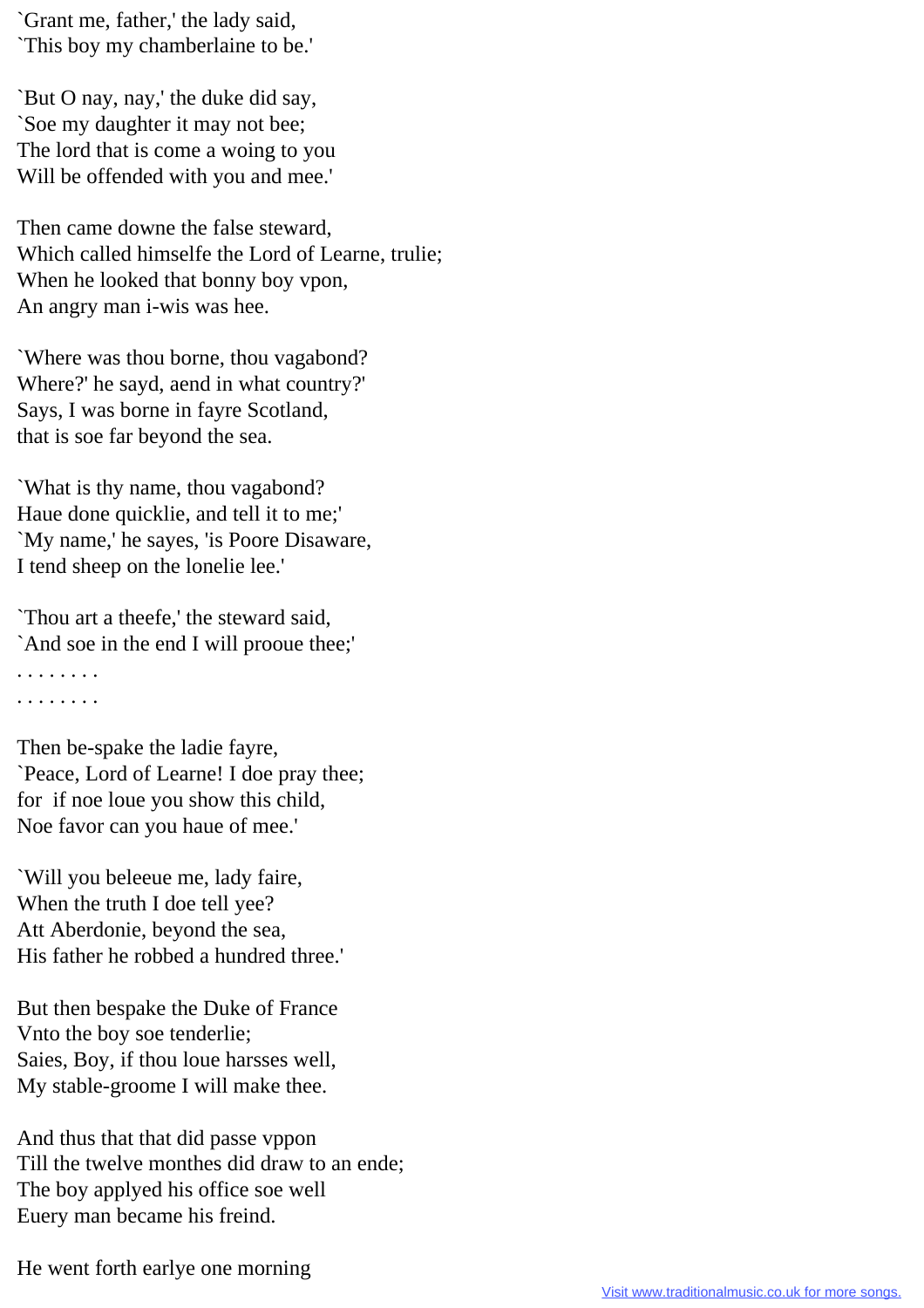`Grant me, father,' the lady said, `This boy my chamberlaine to be.'

`But O nay, nay,' the duke did say, `Soe my daughter it may not bee; The lord that is come a woing to you Will be offended with you and mee.'

Then came downe the false steward, Which called himselfe the Lord of Learne, trulie; When he looked that bonny boy vpon, An angry man i-wis was hee.

`Where was thou borne, thou vagabond? Where?' he sayd, aend in what country?' Says, I was borne in fayre Scotland, that is soe far beyond the sea.

`What is thy name, thou vagabond? Haue done quicklie, and tell it to me;' `My name,' he sayes, 'is Poore Disaware, I tend sheep on the lonelie lee.'

`Thou art a theefe,' the steward said, `And soe in the end I will prooue thee;' . . . . . . . .

. . . . . . . .

Then be-spake the ladie fayre, `Peace, Lord of Learne! I doe pray thee; for if noe loue you show this child, Noe favor can you haue of mee.'

`Will you beleeue me, lady faire, When the truth I doe tell yee? Att Aberdonie, beyond the sea, His father he robbed a hundred three.'

But then bespake the Duke of France Vnto the boy soe tenderlie; Saies, Boy, if thou loue harsses well, My stable-groome I will make thee.

And thus that that did passe vppon Till the twelve monthes did draw to an ende; The boy applyed his office soe well Euery man became his freind.

He went forth earlye one morning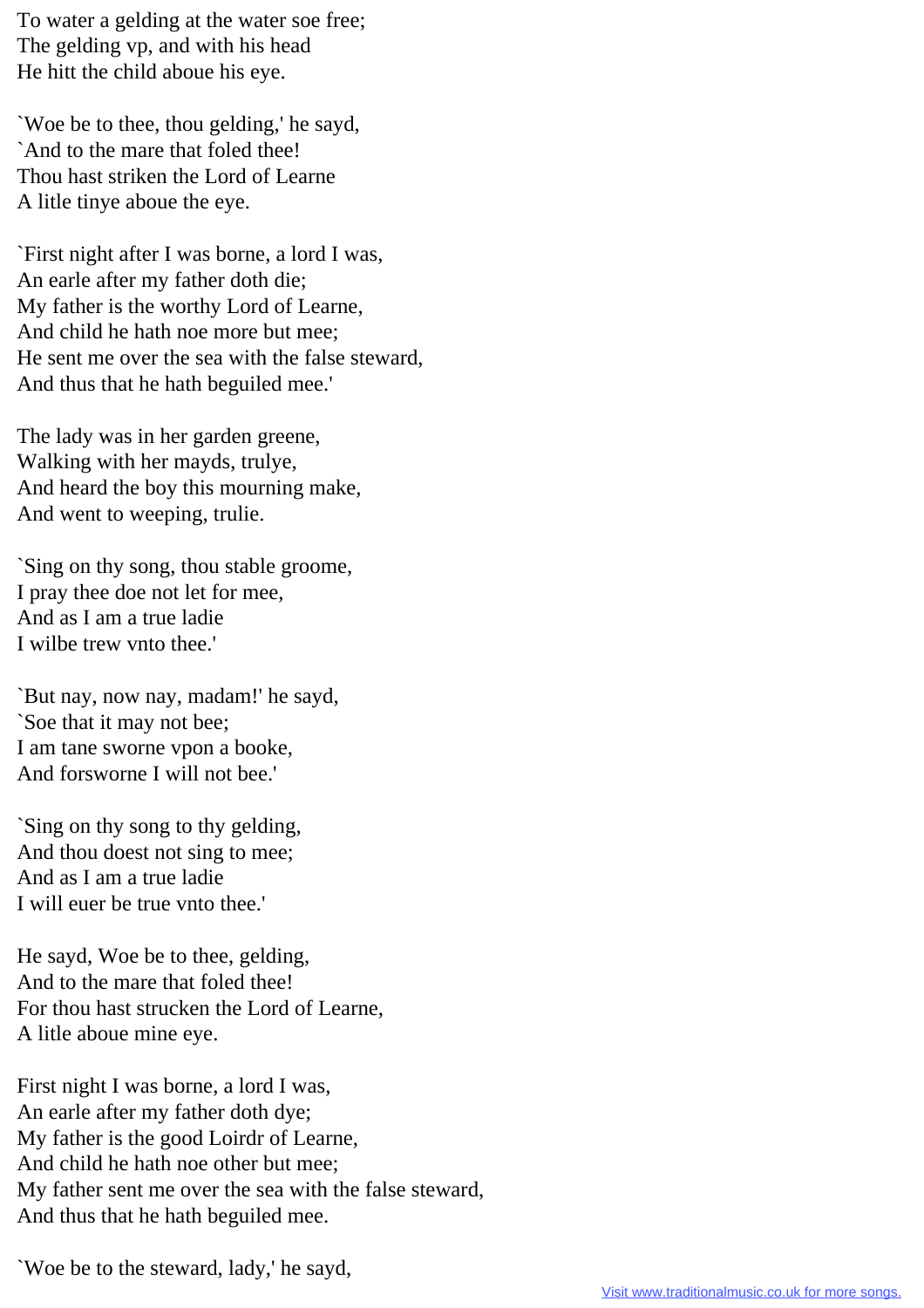To water a gelding at the water soe free; The gelding vp, and with his head He hitt the child aboue his eye.

`Woe be to thee, thou gelding,' he sayd, `And to the mare that foled thee! Thou hast striken the Lord of Learne A litle tinye aboue the eye.

`First night after I was borne, a lord I was, An earle after my father doth die; My father is the worthy Lord of Learne, And child he hath noe more but mee; He sent me over the sea with the false steward, And thus that he hath beguiled mee.'

The lady was in her garden greene, Walking with her mayds, trulye, And heard the boy this mourning make, And went to weeping, trulie.

`Sing on thy song, thou stable groome, I pray thee doe not let for mee, And as I am a true ladie I wilbe trew vnto thee.'

`But nay, now nay, madam!' he sayd, `Soe that it may not bee; I am tane sworne vpon a booke, And forsworne I will not bee.'

`Sing on thy song to thy gelding, And thou doest not sing to mee; And as I am a true ladie I will euer be true vnto thee.'

He sayd, Woe be to thee, gelding, And to the mare that foled thee! For thou hast strucken the Lord of Learne, A litle aboue mine eye.

First night I was borne, a lord I was, An earle after my father doth dye; My father is the good Loirdr of Learne, And child he hath noe other but mee; My father sent me over the sea with the false steward, And thus that he hath beguiled mee.

`Woe be to the steward, lady,' he sayd,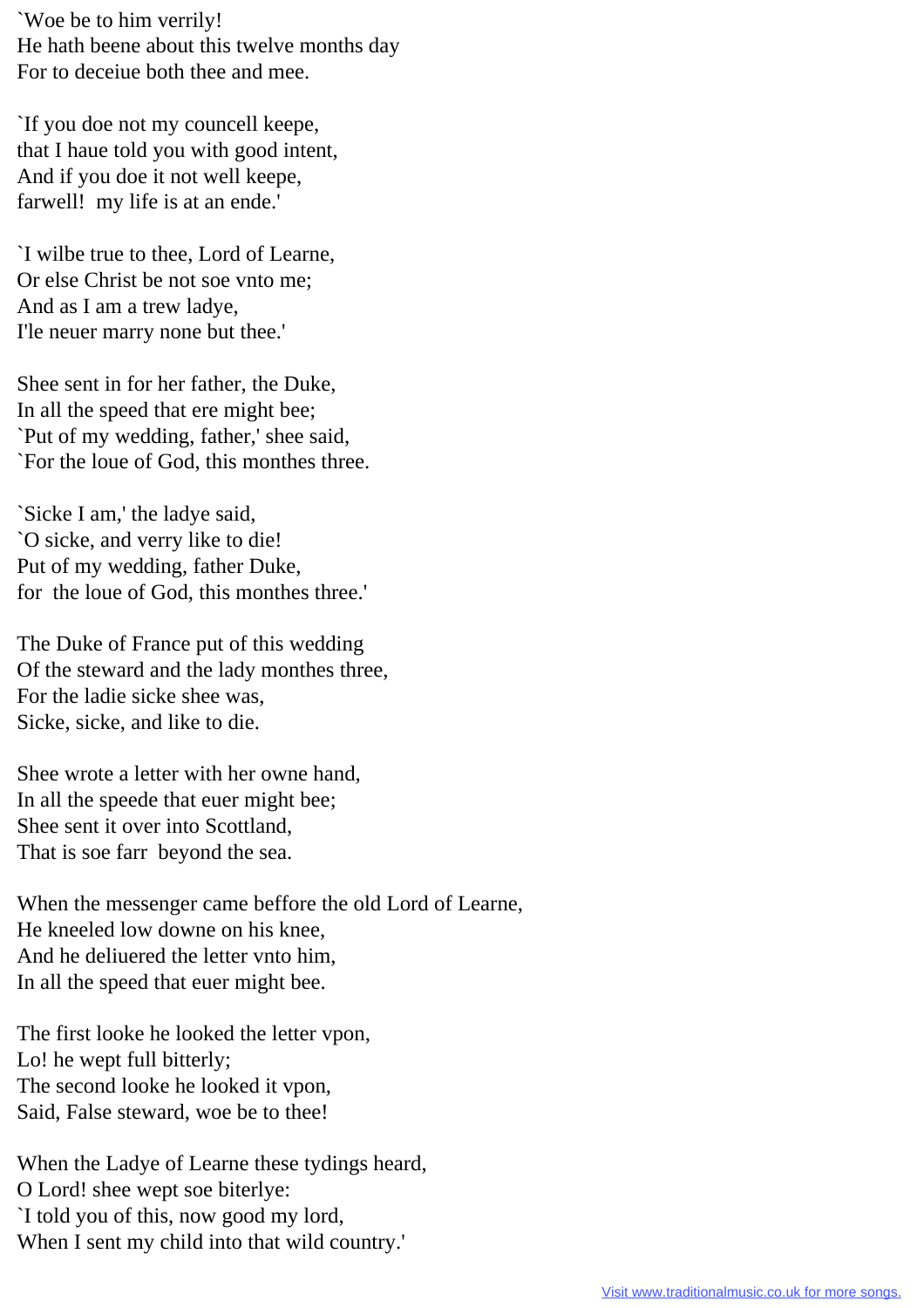`Woe be to him verrily! He hath beene about this twelve months day For to deceiue both thee and mee.

`If you doe not my councell keepe, that I haue told you with good intent, And if you doe it not well keepe, farwell! my life is at an ende.'

`I wilbe true to thee, Lord of Learne, Or else Christ be not soe vnto me; And as I am a trew ladye, I'le neuer marry none but thee.'

Shee sent in for her father, the Duke, In all the speed that ere might bee; `Put of my wedding, father,' shee said, `For the loue of God, this monthes three.

`Sicke I am,' the ladye said, `O sicke, and verry like to die! Put of my wedding, father Duke, for the loue of God, this monthes three.'

The Duke of France put of this wedding Of the steward and the lady monthes three, For the ladie sicke shee was, Sicke, sicke, and like to die.

Shee wrote a letter with her owne hand, In all the speede that euer might bee; Shee sent it over into Scottland, That is soe farr beyond the sea.

When the messenger came beffore the old Lord of Learne, He kneeled low downe on his knee, And he deliuered the letter vnto him, In all the speed that euer might bee.

The first looke he looked the letter vpon, Lo! he wept full bitterly; The second looke he looked it vpon, Said, False steward, woe be to thee!

When the Ladye of Learne these tydings heard, O Lord! shee wept soe biterlye: `I told you of this, now good my lord, When I sent my child into that wild country.'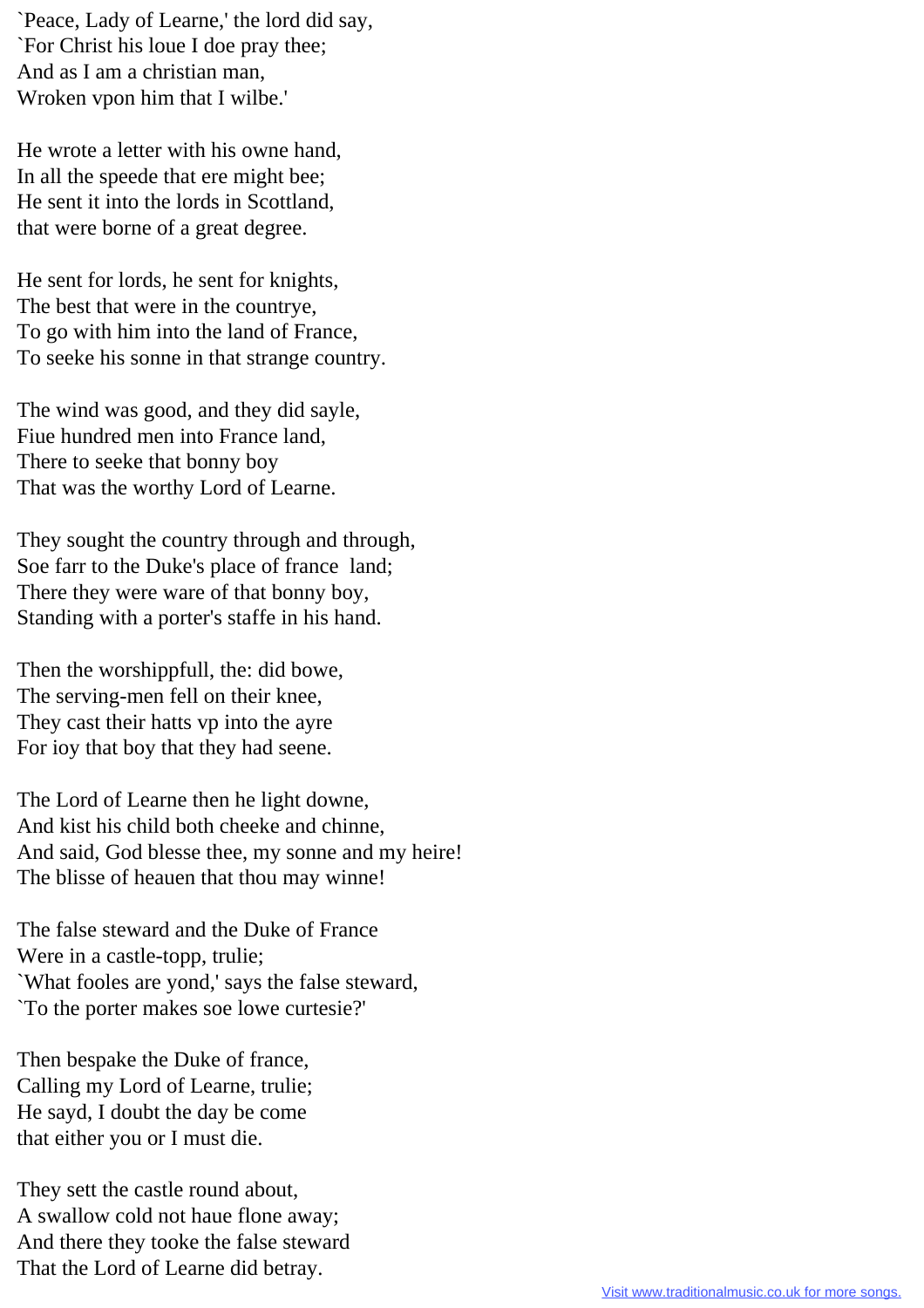`Peace, Lady of Learne,' the lord did say, `For Christ his loue I doe pray thee; And as I am a christian man, Wroken vpon him that I wilbe.'

He wrote a letter with his owne hand, In all the speede that ere might bee; He sent it into the lords in Scottland, that were borne of a great degree.

He sent for lords, he sent for knights, The best that were in the countrye, To go with him into the land of France, To seeke his sonne in that strange country.

The wind was good, and they did sayle, Fiue hundred men into France land, There to seeke that bonny boy That was the worthy Lord of Learne.

They sought the country through and through, Soe farr to the Duke's place of france land; There they were ware of that bonny boy, Standing with a porter's staffe in his hand.

Then the worshippfull, the: did bowe, The serving-men fell on their knee, They cast their hatts vp into the ayre For ioy that boy that they had seene.

The Lord of Learne then he light downe, And kist his child both cheeke and chinne, And said, God blesse thee, my sonne and my heire! The blisse of heauen that thou may winne!

The false steward and the Duke of France Were in a castle-topp, trulie; `What fooles are yond,' says the false steward, `To the porter makes soe lowe curtesie?'

Then bespake the Duke of france, Calling my Lord of Learne, trulie; He sayd, I doubt the day be come that either you or I must die.

They sett the castle round about, A swallow cold not haue flone away; And there they tooke the false steward That the Lord of Learne did betray.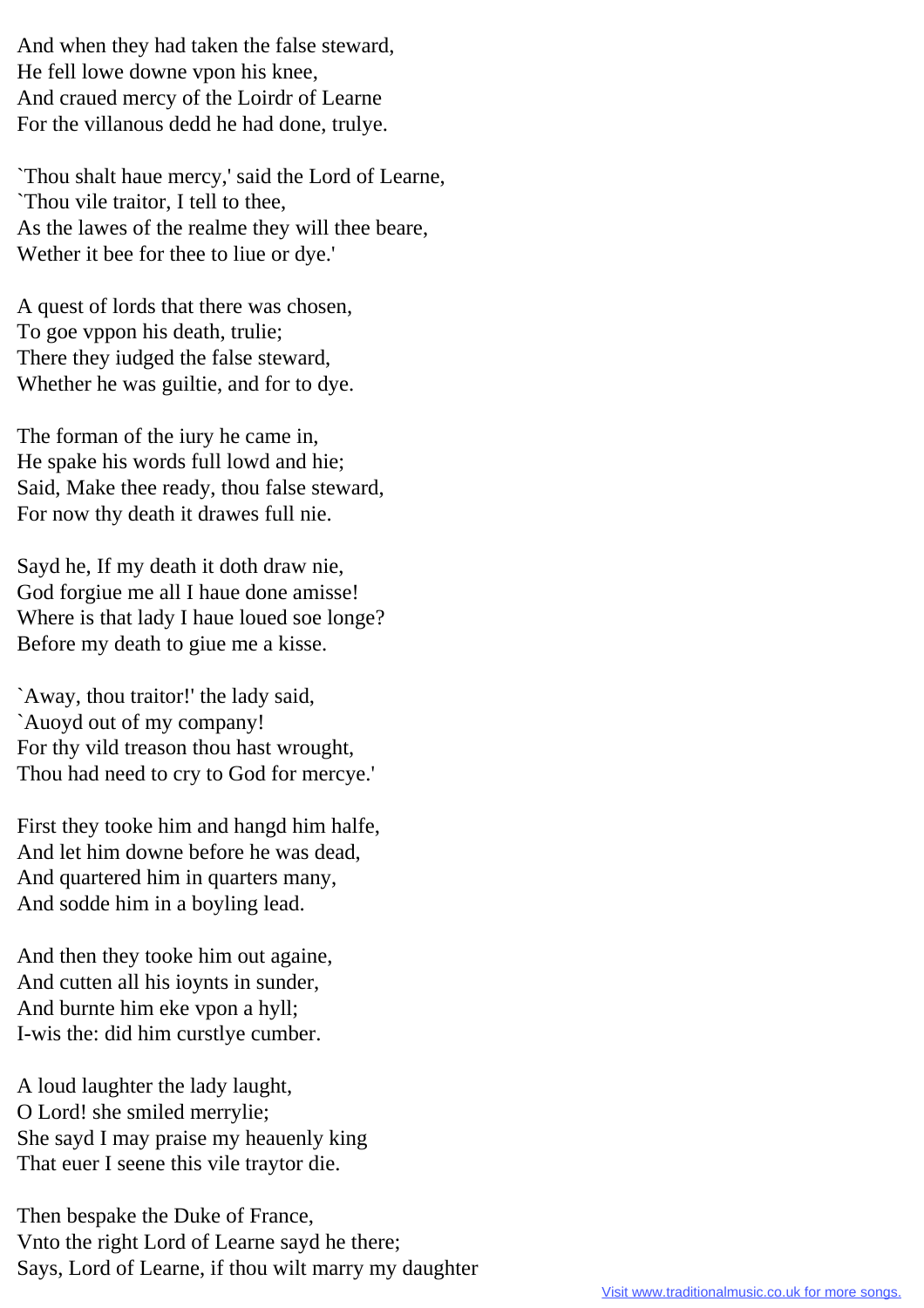And when they had taken the false steward, He fell lowe downe vpon his knee, And craued mercy of the Loirdr of Learne For the villanous dedd he had done, trulye.

`Thou shalt haue mercy,' said the Lord of Learne, `Thou vile traitor, I tell to thee, As the lawes of the realme they will thee beare, Wether it bee for thee to liue or dye.'

A quest of lords that there was chosen, To goe vppon his death, trulie; There they iudged the false steward, Whether he was guiltie, and for to dye.

The forman of the iury he came in, He spake his words full lowd and hie; Said, Make thee ready, thou false steward, For now thy death it drawes full nie.

Sayd he, If my death it doth draw nie, God forgiue me all I haue done amisse! Where is that lady I haue loued soe longe? Before my death to giue me a kisse.

`Away, thou traitor!' the lady said, `Auoyd out of my company! For thy vild treason thou hast wrought, Thou had need to cry to God for mercye.'

First they tooke him and hangd him halfe, And let him downe before he was dead, And quartered him in quarters many, And sodde him in a boyling lead.

And then they tooke him out againe, And cutten all his ioynts in sunder, And burnte him eke vpon a hyll; I-wis the: did him curstlye cumber.

A loud laughter the lady laught, O Lord! she smiled merrylie; She sayd I may praise my heauenly king That euer I seene this vile traytor die.

Then bespake the Duke of France, Vnto the right Lord of Learne sayd he there; Says, Lord of Learne, if thou wilt marry my daughter